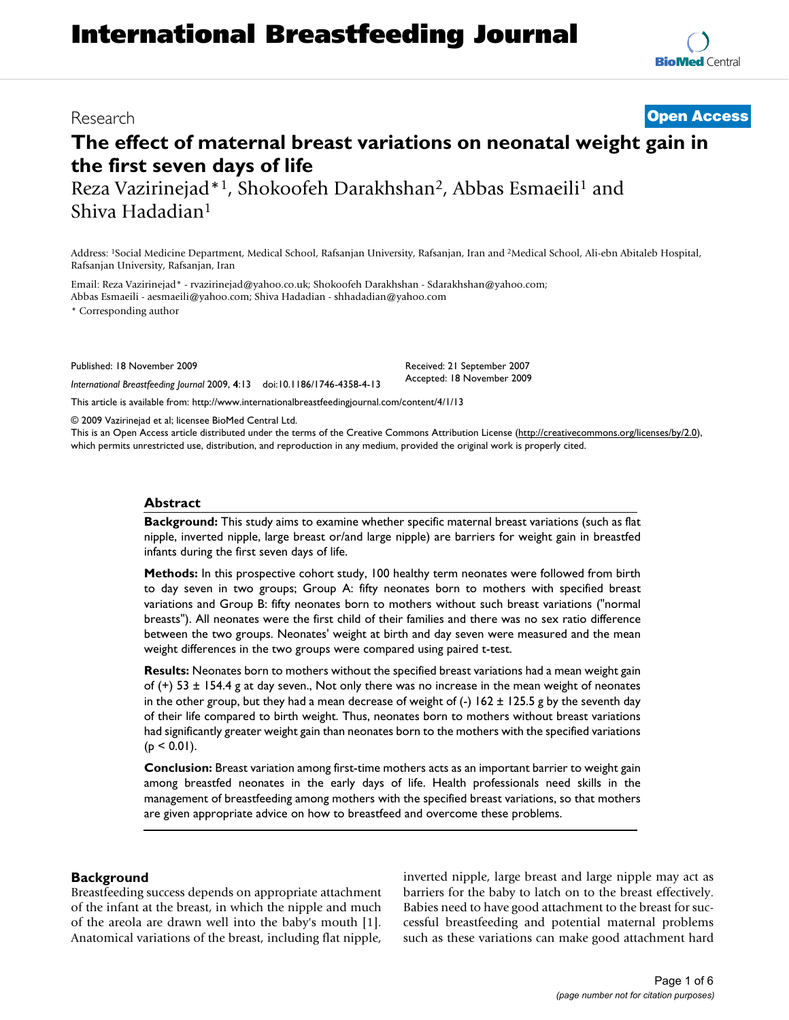# **International Breastfeeding Journal**

Research **[Open Access](http://www.biomedcentral.com/info/about/charter/)**

# **The effect of maternal breast variations on neonatal weight gain in the first seven days of life**

Reza Vazirinejad\*1, Shokoofeh Darakhshan2, Abbas Esmaeili1 and Shiva Hadadian1

Address: 1Social Medicine Department, Medical School, Rafsanjan University, Rafsanjan, Iran and 2Medical School, Ali-ebn Abitaleb Hospital, Rafsanjan University, Rafsanjan, Iran

Email: Reza Vazirinejad\* - rvazirinejad@yahoo.co.uk; Shokoofeh Darakhshan - Sdarakhshan@yahoo.com; Abbas Esmaeili - aesmaeili@yahoo.com; Shiva Hadadian - shhadadian@yahoo.com

\* Corresponding author

Published: 18 November 2009

*International Breastfeeding Journal* 2009, **4**:13 doi:10.1186/1746-4358-4-13

Received: 21 September 2007 Accepted: 18 November 2009

[This article is available from: http://www.internationalbreastfeedingjournal.com/content/4/1/13](http://www.internationalbreastfeedingjournal.com/content/4/1/13)

© 2009 Vazirinejad et al; licensee BioMed Central Ltd.

This is an Open Access article distributed under the terms of the Creative Commons Attribution License [\(http://creativecommons.org/licenses/by/2.0\)](http://creativecommons.org/licenses/by/2.0), which permits unrestricted use, distribution, and reproduction in any medium, provided the original work is properly cited.

### **Abstract**

**Background:** This study aims to examine whether specific maternal breast variations (such as flat nipple, inverted nipple, large breast or/and large nipple) are barriers for weight gain in breastfed infants during the first seven days of life.

**Methods:** In this prospective cohort study, 100 healthy term neonates were followed from birth to day seven in two groups; Group A: fifty neonates born to mothers with specified breast variations and Group B: fifty neonates born to mothers without such breast variations ("normal breasts"). All neonates were the first child of their families and there was no sex ratio difference between the two groups. Neonates' weight at birth and day seven were measured and the mean weight differences in the two groups were compared using paired t-test.

**Results:** Neonates born to mothers without the specified breast variations had a mean weight gain of  $(+)$  53  $\pm$  154.4 g at day seven., Not only there was no increase in the mean weight of neonates in the other group, but they had a mean decrease of weight of  $(-) 162 \pm 125.5$  g by the seventh day of their life compared to birth weight. Thus, neonates born to mothers without breast variations had significantly greater weight gain than neonates born to the mothers with the specified variations  $(p < 0.01)$ .

**Conclusion:** Breast variation among first-time mothers acts as an important barrier to weight gain among breastfed neonates in the early days of life. Health professionals need skills in the management of breastfeeding among mothers with the specified breast variations, so that mothers are given appropriate advice on how to breastfeed and overcome these problems.

#### **Background**

Breastfeeding success depends on appropriate attachment of the infant at the breast, in which the nipple and much of the areola are drawn well into the baby's mouth [1]. Anatomical variations of the breast, including flat nipple, inverted nipple, large breast and large nipple may act as barriers for the baby to latch on to the breast effectively. Babies need to have good attachment to the breast for successful breastfeeding and potential maternal problems such as these variations can make good attachment hard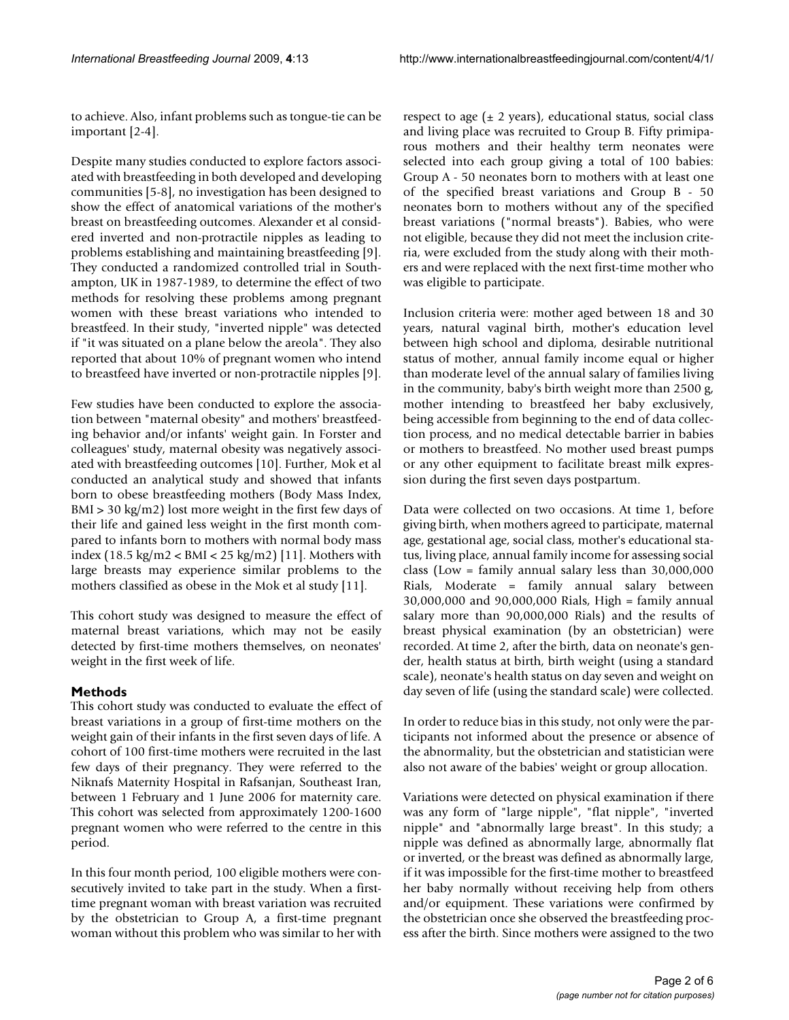to achieve. Also, infant problems such as tongue-tie can be important [2-4].

Despite many studies conducted to explore factors associated with breastfeeding in both developed and developing communities [5-8], no investigation has been designed to show the effect of anatomical variations of the mother's breast on breastfeeding outcomes. Alexander et al considered inverted and non-protractile nipples as leading to problems establishing and maintaining breastfeeding [9]. They conducted a randomized controlled trial in Southampton, UK in 1987-1989, to determine the effect of two methods for resolving these problems among pregnant women with these breast variations who intended to breastfeed. In their study, "inverted nipple" was detected if "it was situated on a plane below the areola". They also reported that about 10% of pregnant women who intend to breastfeed have inverted or non-protractile nipples [9].

Few studies have been conducted to explore the association between "maternal obesity" and mothers' breastfeeding behavior and/or infants' weight gain. In Forster and colleagues' study, maternal obesity was negatively associated with breastfeeding outcomes [10]. Further, Mok et al conducted an analytical study and showed that infants born to obese breastfeeding mothers (Body Mass Index, BMI > 30 kg/m2) lost more weight in the first few days of their life and gained less weight in the first month compared to infants born to mothers with normal body mass index (18.5 kg/m2 < BMI < 25 kg/m2) [11]. Mothers with large breasts may experience similar problems to the mothers classified as obese in the Mok et al study [11].

This cohort study was designed to measure the effect of maternal breast variations, which may not be easily detected by first-time mothers themselves, on neonates' weight in the first week of life.

# **Methods**

This cohort study was conducted to evaluate the effect of breast variations in a group of first-time mothers on the weight gain of their infants in the first seven days of life. A cohort of 100 first-time mothers were recruited in the last few days of their pregnancy. They were referred to the Niknafs Maternity Hospital in Rafsanjan, Southeast Iran, between 1 February and 1 June 2006 for maternity care. This cohort was selected from approximately 1200-1600 pregnant women who were referred to the centre in this period.

In this four month period, 100 eligible mothers were consecutively invited to take part in the study. When a firsttime pregnant woman with breast variation was recruited by the obstetrician to Group A, a first-time pregnant woman without this problem who was similar to her with respect to age  $(\pm 2 \text{ years})$ , educational status, social class and living place was recruited to Group B. Fifty primiparous mothers and their healthy term neonates were selected into each group giving a total of 100 babies: Group A - 50 neonates born to mothers with at least one of the specified breast variations and Group B - 50 neonates born to mothers without any of the specified breast variations ("normal breasts"). Babies, who were not eligible, because they did not meet the inclusion criteria, were excluded from the study along with their mothers and were replaced with the next first-time mother who was eligible to participate.

Inclusion criteria were: mother aged between 18 and 30 years, natural vaginal birth, mother's education level between high school and diploma, desirable nutritional status of mother, annual family income equal or higher than moderate level of the annual salary of families living in the community, baby's birth weight more than 2500 g, mother intending to breastfeed her baby exclusively, being accessible from beginning to the end of data collection process, and no medical detectable barrier in babies or mothers to breastfeed. No mother used breast pumps or any other equipment to facilitate breast milk expression during the first seven days postpartum.

Data were collected on two occasions. At time 1, before giving birth, when mothers agreed to participate, maternal age, gestational age, social class, mother's educational status, living place, annual family income for assessing social class (Low = family annual salary less than 30,000,000 Rials, Moderate = family annual salary between 30,000,000 and 90,000,000 Rials, High = family annual salary more than 90,000,000 Rials) and the results of breast physical examination (by an obstetrician) were recorded. At time 2, after the birth, data on neonate's gender, health status at birth, birth weight (using a standard scale), neonate's health status on day seven and weight on day seven of life (using the standard scale) were collected.

In order to reduce bias in this study, not only were the participants not informed about the presence or absence of the abnormality, but the obstetrician and statistician were also not aware of the babies' weight or group allocation.

Variations were detected on physical examination if there was any form of "large nipple", "flat nipple", "inverted nipple" and "abnormally large breast". In this study; a nipple was defined as abnormally large, abnormally flat or inverted, or the breast was defined as abnormally large, if it was impossible for the first-time mother to breastfeed her baby normally without receiving help from others and/or equipment. These variations were confirmed by the obstetrician once she observed the breastfeeding process after the birth. Since mothers were assigned to the two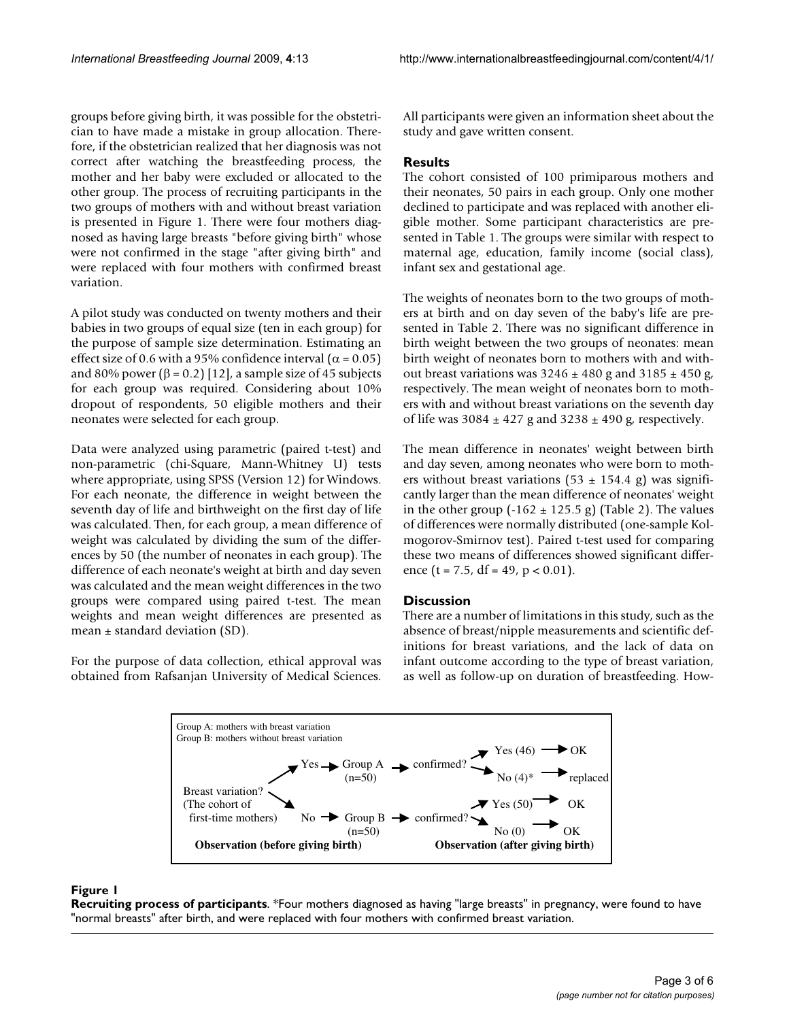groups before giving birth, it was possible for the obstetrician to have made a mistake in group allocation. Therefore, if the obstetrician realized that her diagnosis was not correct after watching the breastfeeding process, the mother and her baby were excluded or allocated to the other group. The process of recruiting participants in the two groups of mothers with and without breast variation is presented in Figure 1. There were four mothers diagnosed as having large breasts "before giving birth" whose were not confirmed in the stage "after giving birth" and were replaced with four mothers with confirmed breast variation.

A pilot study was conducted on twenty mothers and their babies in two groups of equal size (ten in each group) for the purpose of sample size determination. Estimating an effect size of 0.6 with a 95% confidence interval ( $\alpha$  = 0.05) and 80% power ( $\beta$  = 0.2) [12], a sample size of 45 subjects for each group was required. Considering about 10% dropout of respondents, 50 eligible mothers and their neonates were selected for each group.

Data were analyzed using parametric (paired t-test) and non-parametric (chi-Square, Mann-Whitney U) tests where appropriate, using SPSS (Version 12) for Windows. For each neonate, the difference in weight between the seventh day of life and birthweight on the first day of life was calculated. Then, for each group, a mean difference of weight was calculated by dividing the sum of the differences by 50 (the number of neonates in each group). The difference of each neonate's weight at birth and day seven was calculated and the mean weight differences in the two groups were compared using paired t-test. The mean weights and mean weight differences are presented as mean  $\pm$  standard deviation (SD).

For the purpose of data collection, ethical approval was obtained from Rafsanjan University of Medical Sciences.

All participants were given an information sheet about the study and gave written consent.

# **Results**

The cohort consisted of 100 primiparous mothers and their neonates, 50 pairs in each group. Only one mother declined to participate and was replaced with another eligible mother. Some participant characteristics are presented in Table 1. The groups were similar with respect to maternal age, education, family income (social class), infant sex and gestational age.

The weights of neonates born to the two groups of mothers at birth and on day seven of the baby's life are presented in Table 2. There was no significant difference in birth weight between the two groups of neonates: mean birth weight of neonates born to mothers with and without breast variations was  $3246 \pm 480$  g and  $3185 \pm 450$  g, respectively. The mean weight of neonates born to mothers with and without breast variations on the seventh day of life was  $3084 \pm 427$  g and  $3238 \pm 490$  g, respectively.

The mean difference in neonates' weight between birth and day seven, among neonates who were born to mothers without breast variations (53  $\pm$  154.4 g) was significantly larger than the mean difference of neonates' weight in the other group  $(-162 \pm 125.5 \text{ g})$  (Table 2). The values of differences were normally distributed (one-sample Kolmogorov-Smirnov test). Paired t-test used for comparing these two means of differences showed significant difference (t = 7.5, df = 49, p < 0.01).

# **Discussion**

There are a number of limitations in this study, such as the absence of breast/nipple measurements and scientific definitions for breast variations, and the lack of data on infant outcome according to the type of breast variation, as well as follow-up on duration of breastfeeding. How-



### **Figure 1**

**Recruiting process of participants**. \*Four mothers diagnosed as having "large breasts" in pregnancy, were found to have "normal breasts" after birth, and were replaced with four mothers with confirmed breast variation.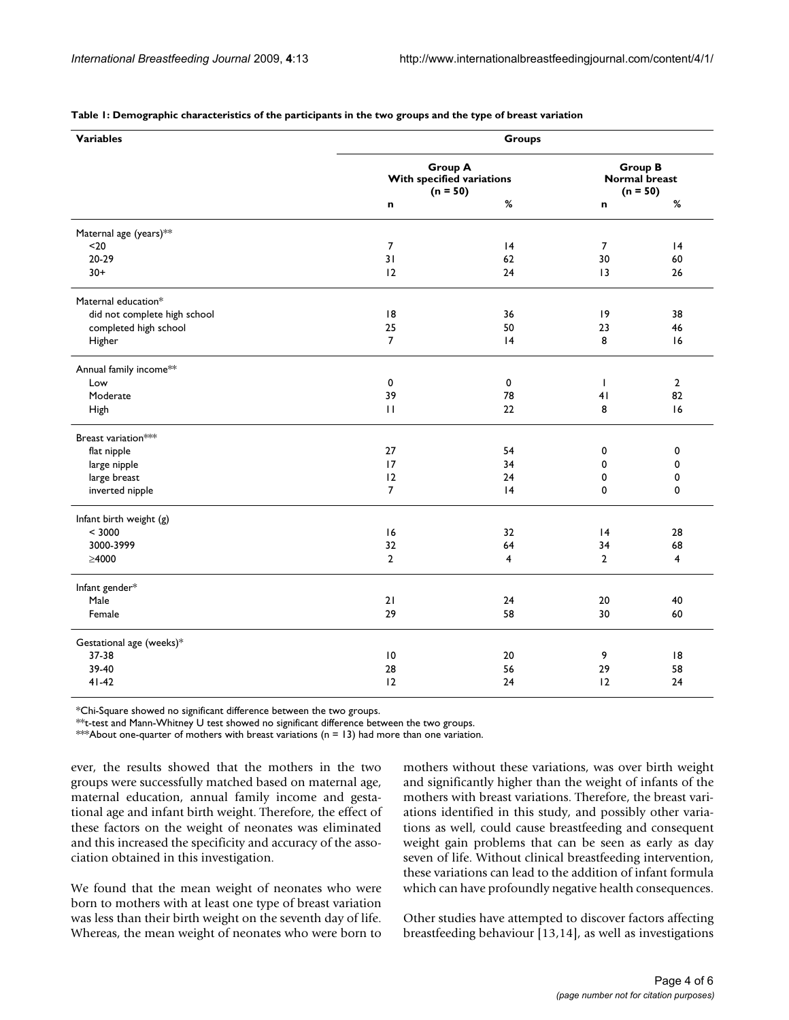| <b>Variables</b>                   | Groups                                                    |                |                                                      |                |  |
|------------------------------------|-----------------------------------------------------------|----------------|------------------------------------------------------|----------------|--|
|                                    | <b>Group A</b><br>With specified variations<br>$(n = 50)$ |                | <b>Group B</b><br><b>Normal breast</b><br>$(n = 50)$ |                |  |
|                                    | n                                                         | $\%$           | n                                                    | $\%$           |  |
| Maternal age (years)**             |                                                           |                |                                                      |                |  |
| $20$                               | 7                                                         | 4              | 7                                                    | 4              |  |
| 20-29                              | 31                                                        | 62             | 30                                                   | 60             |  |
| $30+$                              | 12                                                        | 24             | 13                                                   | 26             |  |
| Maternal education*                |                                                           |                |                                                      |                |  |
| did not complete high school       | 8                                                         | 36             | 9                                                    | 38             |  |
| completed high school              | 25                                                        | 50             | 23                                                   | 46             |  |
| Higher                             | $\overline{7}$                                            | 4              | 8                                                    | 16             |  |
| Annual family income <sup>**</sup> |                                                           |                |                                                      |                |  |
| Low                                | 0                                                         | 0              | $\mathbf{I}$                                         | $\overline{2}$ |  |
| Moderate                           | 39                                                        | 78             | 41                                                   | 82             |  |
| High                               | $\mathbf{H}$                                              | 22             | 8                                                    | 16             |  |
| Breast variation***                |                                                           |                |                                                      |                |  |
| flat nipple                        | 27                                                        | 54             | 0                                                    | 0              |  |
| large nipple                       | 17                                                        | 34             | 0                                                    | 0              |  |
| large breast                       | 12                                                        | 24             | 0                                                    | 0              |  |
| inverted nipple                    | $\overline{7}$                                            | 4              | 0                                                    | 0              |  |
| Infant birth weight (g)            |                                                           |                |                                                      |                |  |
| < 3000                             | 16                                                        | 32             | 4                                                    | 28             |  |
| 3000-3999                          | 32                                                        | 64             | 34                                                   | 68             |  |
| $\geq 4000$                        | $\overline{2}$                                            | $\overline{4}$ | $\overline{2}$                                       | 4              |  |
| Infant gender*                     |                                                           |                |                                                      |                |  |
| Male                               | 21                                                        | 24             | 20                                                   | 40             |  |
| Female                             | 29                                                        | 58             | 30                                                   | 60             |  |
| Gestational age (weeks)*           |                                                           |                |                                                      |                |  |
| 37-38                              | $\overline{10}$                                           | 20             | 9                                                    | 8              |  |
| 39-40                              | 28                                                        | 56             | 29                                                   | 58             |  |
| $41 - 42$                          | 12                                                        | 24             | 12                                                   | 24             |  |

#### **Table 1: Demographic characteristics of the participants in the two groups and the type of breast variation**

\*Chi-Square showed no significant difference between the two groups.

\*\*t-test and Mann-Whitney U test showed no significant difference between the two groups.

\*\*\*About one-quarter of mothers with breast variations ( $n = 13$ ) had more than one variation.

ever, the results showed that the mothers in the two groups were successfully matched based on maternal age, maternal education, annual family income and gestational age and infant birth weight. Therefore, the effect of these factors on the weight of neonates was eliminated and this increased the specificity and accuracy of the association obtained in this investigation.

We found that the mean weight of neonates who were born to mothers with at least one type of breast variation was less than their birth weight on the seventh day of life. Whereas, the mean weight of neonates who were born to

mothers without these variations, was over birth weight and significantly higher than the weight of infants of the mothers with breast variations. Therefore, the breast variations identified in this study, and possibly other variations as well, could cause breastfeeding and consequent weight gain problems that can be seen as early as day seven of life. Without clinical breastfeeding intervention, these variations can lead to the addition of infant formula which can have profoundly negative health consequences.

Other studies have attempted to discover factors affecting breastfeeding behaviour [13,14], as well as investigations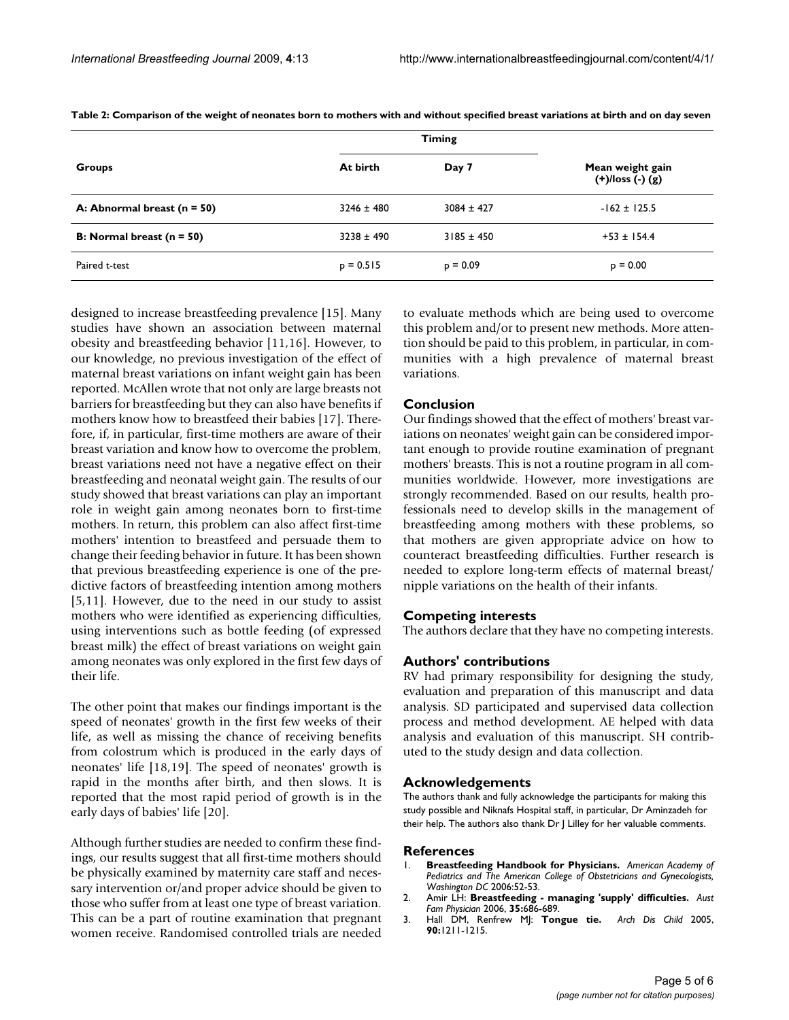|                                    | <b>Timing</b>  |                |                                             |
|------------------------------------|----------------|----------------|---------------------------------------------|
| <b>Groups</b>                      | At birth       | Day 7          | Mean weight gain<br>$(+)/$ loss $(-)$ $(g)$ |
| A: Abnormal breast ( $n = 50$ )    | $3246 \pm 480$ | $3084 \pm 427$ | $-162 \pm 125.5$                            |
| <b>B:</b> Normal breast $(n = 50)$ | $3238 \pm 490$ | $3185 \pm 450$ | $+53 \pm 154.4$                             |
| Paired t-test                      | $p = 0.515$    | $p = 0.09$     | $p = 0.00$                                  |

**Table 2: Comparison of the weight of neonates born to mothers with and without specified breast variations at birth and on day seven**

designed to increase breastfeeding prevalence [15]. Many studies have shown an association between maternal obesity and breastfeeding behavior [11,16]. However, to our knowledge, no previous investigation of the effect of maternal breast variations on infant weight gain has been reported. McAllen wrote that not only are large breasts not barriers for breastfeeding but they can also have benefits if mothers know how to breastfeed their babies [17]. Therefore, if, in particular, first-time mothers are aware of their breast variation and know how to overcome the problem, breast variations need not have a negative effect on their breastfeeding and neonatal weight gain. The results of our study showed that breast variations can play an important role in weight gain among neonates born to first-time mothers. In return, this problem can also affect first-time mothers' intention to breastfeed and persuade them to change their feeding behavior in future. It has been shown that previous breastfeeding experience is one of the predictive factors of breastfeeding intention among mothers [5,11]. However, due to the need in our study to assist mothers who were identified as experiencing difficulties, using interventions such as bottle feeding (of expressed breast milk) the effect of breast variations on weight gain among neonates was only explored in the first few days of their life.

The other point that makes our findings important is the speed of neonates' growth in the first few weeks of their life, as well as missing the chance of receiving benefits from colostrum which is produced in the early days of neonates' life [18,19]. The speed of neonates' growth is rapid in the months after birth, and then slows. It is reported that the most rapid period of growth is in the early days of babies' life [20].

Although further studies are needed to confirm these findings, our results suggest that all first-time mothers should be physically examined by maternity care staff and necessary intervention or/and proper advice should be given to those who suffer from at least one type of breast variation. This can be a part of routine examination that pregnant women receive. Randomised controlled trials are needed to evaluate methods which are being used to overcome this problem and/or to present new methods. More attention should be paid to this problem, in particular, in communities with a high prevalence of maternal breast variations.

### **Conclusion**

Our findings showed that the effect of mothers' breast variations on neonates' weight gain can be considered important enough to provide routine examination of pregnant mothers' breasts. This is not a routine program in all communities worldwide. However, more investigations are strongly recommended. Based on our results, health professionals need to develop skills in the management of breastfeeding among mothers with these problems, so that mothers are given appropriate advice on how to counteract breastfeeding difficulties. Further research is needed to explore long-term effects of maternal breast/ nipple variations on the health of their infants.

#### **Competing interests**

The authors declare that they have no competing interests.

## **Authors' contributions**

RV had primary responsibility for designing the study, evaluation and preparation of this manuscript and data analysis. SD participated and supervised data collection process and method development. AE helped with data analysis and evaluation of this manuscript. SH contributed to the study design and data collection.

#### **Acknowledgements**

The authors thank and fully acknowledge the participants for making this study possible and Niknafs Hospital staff, in particular, Dr Aminzadeh for their help. The authors also thank Dr J Lilley for her valuable comments.

#### **References**

- 1. **Breastfeeding Handbook for Physicians.** *American Academy of Pediatrics and The American College of Obstetricians and Gynecologists, Washington DC* 2006:52-53.
- 2. Amir LH: **[Breastfeeding managing 'supply' difficulties.](http://www.ncbi.nlm.nih.gov/entrez/query.fcgi?cmd=Retrieve&db=PubMed&dopt=Abstract&list_uids=16969436)** *Aust Fam Physician* 2006, **35:**686-689.
- 3. Hall DM, Renfrew MJ: **[Tongue tie.](http://www.ncbi.nlm.nih.gov/entrez/query.fcgi?cmd=Retrieve&db=PubMed&dopt=Abstract&list_uids=16301545)** *Arch Dis Child* 2005, **90:**1211-1215.